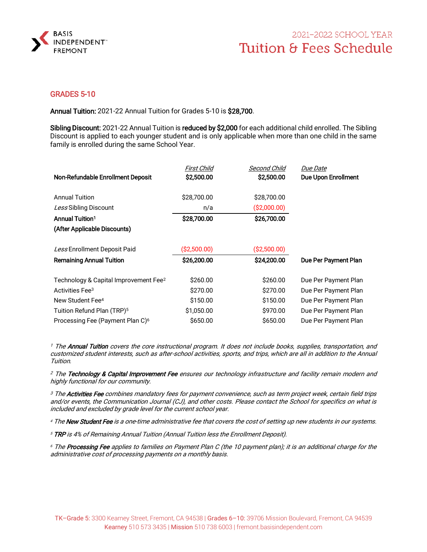

## 2021-2022 SCHOOL YEAR **Tuition & Fees Schedule**

### GRADES 5-10

Annual Tuition: 2021-22 Annual Tuition for Grades 5-10 is \$28,700.

Sibling Discount: 2021-22 Annual Tuition is reduced by \$2,000 for each additional child enrolled. The Sibling Discount is applied to each younger student and is only applicable when more than one child in the same family is enrolled during the same School Year.

|                                                   | First Child  | <b>Second Child</b> | <i>Due Date</i>      |
|---------------------------------------------------|--------------|---------------------|----------------------|
| Non-Refundable Enrollment Deposit                 | \$2,500.00   | \$2,500.00          | Due Upon Enrollment  |
| <b>Annual Tuition</b>                             | \$28,700.00  | \$28,700.00         |                      |
|                                                   |              |                     |                      |
| Less Sibling Discount                             | n/a          | ( \$2,000.00)       |                      |
| <b>Annual Tuition<sup>1</sup></b>                 | \$28,700.00  | \$26,700.00         |                      |
| (After Applicable Discounts)                      |              |                     |                      |
| Less Enrollment Deposit Paid                      | (\$2,500.00) | ( \$2,500.00)       |                      |
| <b>Remaining Annual Tuition</b>                   | \$26,200.00  | \$24,200.00         | Due Per Payment Plan |
| Technology & Capital Improvement Fee <sup>2</sup> | \$260.00     | \$260.00            | Due Per Payment Plan |
| Activities Fee <sup>3</sup>                       | \$270.00     | \$270.00            | Due Per Payment Plan |
| New Student Fee <sup>4</sup>                      | \$150.00     | \$150.00            | Due Per Payment Plan |
| Tuition Refund Plan (TRP) <sup>5</sup>            | \$1,050.00   | \$970.00            | Due Per Payment Plan |
| Processing Fee (Payment Plan C) <sup>6</sup>      | \$650.00     | \$650.00            | Due Per Payment Plan |

<sup>1</sup> The **Annual Tuition** covers the core instructional program. It does not include books, supplies, transportation, and customized student interests, such as after-school activities, sports, and trips, which are all in addition to the Annual Tuition.

<sup>2</sup> The Technology & Capital Improvement Fee ensures our technology infrastructure and facility remain modern and highly functional for our community.

<sup>3</sup> The **Activities Fee** combines mandatory fees for payment convenience, such as term project week, certain field trips and/or events, the Communication Journal (CJ), and other costs. Please contact the School for specifics on what is included and excluded by grade level for the current school year.

<sup>4</sup> The New Student Fee is a one-time administrative fee that covers the cost of setting up new students in our systems.

<sup>5</sup> TRP is 4% of Remaining Annual Tuition (Annual Tuition less the Enrollment Deposit).

<sup>6</sup> The **Processing Fee** applies to families on Payment Plan C (the 10 payment plan); it is an additional charge for the administrative cost of processing payments on a monthly basis.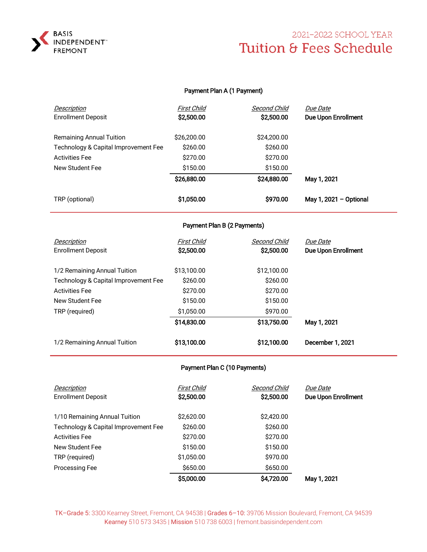

## 2021-2022 SCHOOL YEAR Tuition & Fees Schedule

#### Payment Plan A (1 Payment)

| <b>Enrollment Deposit</b>            | \$2,500.00  | \$2,500.00  | Due Upon Enrollment    |  |
|--------------------------------------|-------------|-------------|------------------------|--|
| <b>Remaining Annual Tuition</b>      | \$26,200.00 | \$24,200.00 |                        |  |
| Technology & Capital Improvement Fee | \$260.00    | \$260.00    |                        |  |
| <b>Activities Fee</b>                | \$270.00    | \$270.00    |                        |  |
| New Student Fee                      | \$150.00    | \$150.00    |                        |  |
|                                      | \$26,880.00 | \$24,880.00 | May 1, 2021            |  |
| TRP (optional)                       | \$1,050.00  | \$970.00    | May 1, 2021 - Optional |  |

### Payment Plan B (2 Payments)

| Description                          | First Child | Second Child | <i>Due Date</i>            |
|--------------------------------------|-------------|--------------|----------------------------|
| <b>Enrollment Deposit</b>            | \$2,500.00  | \$2,500.00   | <b>Due Upon Enrollment</b> |
|                                      |             |              |                            |
| 1/2 Remaining Annual Tuition         | \$13,100.00 | \$12,100.00  |                            |
| Technology & Capital Improvement Fee | \$260.00    | \$260.00     |                            |
| <b>Activities Fee</b>                | \$270.00    | \$270.00     |                            |
| New Student Fee                      | \$150.00    | \$150.00     |                            |
| TRP (required)                       | \$1,050.00  | \$970.00     |                            |
|                                      | \$14,830.00 | \$13,750.00  | May 1, 2021                |
| 1/2 Remaining Annual Tuition         | \$13,100.00 | \$12,100.00  | December 1, 2021           |

### Payment Plan C (10 Payments)

| Description<br><b>Enrollment Deposit</b> | First Child<br>\$2,500.00 | Second Child<br>\$2,500.00 | Due Date<br>Due Upon Enrollment |
|------------------------------------------|---------------------------|----------------------------|---------------------------------|
| 1/10 Remaining Annual Tuition            | \$2,620.00                | \$2,420.00                 |                                 |
| Technology & Capital Improvement Fee     | \$260.00                  | \$260.00                   |                                 |
| <b>Activities Fee</b>                    | \$270.00                  | \$270.00                   |                                 |
| New Student Fee                          | \$150.00                  | \$150.00                   |                                 |
| TRP (required)                           | \$1,050.00                | \$970.00                   |                                 |
| Processing Fee                           | \$650.00                  | \$650.00                   |                                 |
|                                          | \$5,000.00                | \$4,720.00                 | May 1, 2021                     |

TK–Grade 5: 3300 Kearney Street, Fremont, CA 94538 | Grades 6–10: 39706 Mission Boulevard, Fremont, CA 94539 Kearney 510 573 3435 | Mission 510 738 6003 | fremont.basisindependent.com